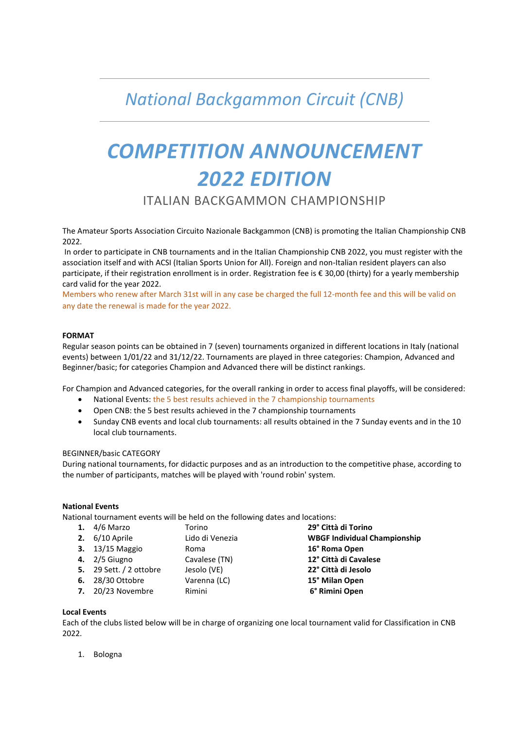## *National Backgammon Circuit (CNB)*

# *COMPETITION ANNOUNCEMENT 2022 EDITION*

### ITALIAN BACKGAMMON CHAMPIONSHIP

The Amateur Sports Association Circuito Nazionale Backgammon (CNB) is promoting the Italian Championship CNB 2022.

In order to participate in CNB tournaments and in the Italian Championship CNB 2022, you must register with the association itself and with ACSI (Italian Sports Union for All). Foreign and non-Italian resident players can also participate, if their registration enrollment is in order. Registration fee is € 30,00 (thirty) for a yearly membership card valid for the year 2022.

Members who renew after March 31st will in any case be charged the full 12-month fee and this will be valid on any date the renewal is made for the year 2022.

#### **FORMAT**

Regular season points can be obtained in 7 (seven) tournaments organized in different locations in Italy (national events) between 1/01/22 and 31/12/22. Tournaments are played in three categories: Champion, Advanced and Beginner/basic; for categories Champion and Advanced there will be distinct rankings.

For Champion and Advanced categories, for the overall ranking in order to access final playoffs, will be considered:

- National Events: the 5 best results achieved in the 7 championship tournaments
- Open CNB: the 5 best results achieved in the 7 championship tournaments
- Sunday CNB events and local club tournaments: all results obtained in the 7 Sunday events and in the 10 local club tournaments.

#### BEGINNER/basic CATEGORY

During national tournaments, for didactic purposes and as an introduction to the competitive phase, according to the number of participants, matches will be played with 'round robin' system.

#### **National Events**

National tournament events will be held on the following dates and locations:

| 1. $4/6$ Marzo            | Torino          | 29° Città di Torino                 |
|---------------------------|-----------------|-------------------------------------|
| 2. $6/10$ Aprile          | Lido di Venezia | <b>WBGF Individual Championship</b> |
| 3. 13/15 Maggio           | Roma            | 16° Roma Open                       |
| 4. $2/5$ Giugno           | Cavalese (TN)   | 12° Città di Cavalese               |
| 5. 29 Sett. $/$ 2 ottobre | Jesolo (VE)     | 22° Città di Jesolo                 |
| <b>6.</b> 28/30 Ottobre   | Varenna (LC)    | 15° Milan Open                      |
| 7. 20/23 Novembre         | Rimini          | 6° Rimini Open                      |

#### **Local Events**

Each of the clubs listed below will be in charge of organizing one local tournament valid for Classification in CNB 2022.

1. Bologna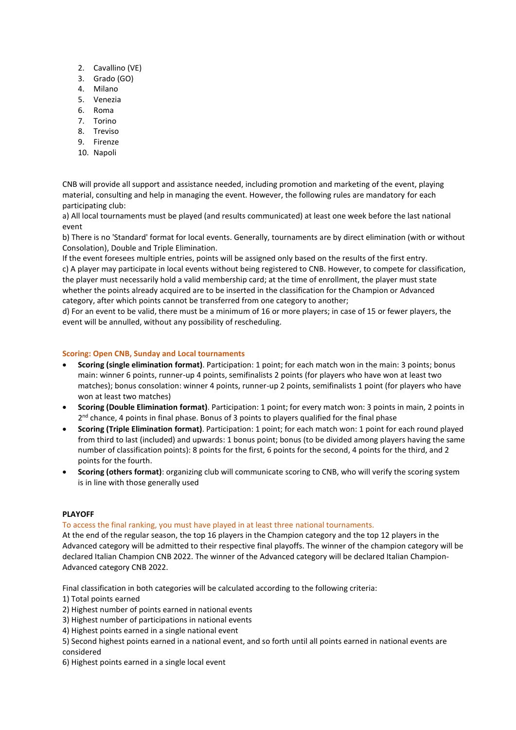- 2. Cavallino (VE)
- 3. Grado (GO)
- 4. Milano
- 5. Venezia
- 6. Roma
- 7. Torino
- 8. Treviso
- 9. Firenze
- 10. Napoli

CNB will provide all support and assistance needed, including promotion and marketing of the event, playing material, consulting and help in managing the event. However, the following rules are mandatory for each participating club:

a) All local tournaments must be played (and results communicated) at least one week before the last national event

b) There is no 'Standard' format for local events. Generally, tournaments are by direct elimination (with or without Consolation), Double and Triple Elimination.

If the event foresees multiple entries, points will be assigned only based on the results of the first entry. c) A player may participate in local events without being registered to CNB. However, to compete for classification, the player must necessarily hold a valid membership card; at the time of enrollment, the player must state whether the points already acquired are to be inserted in the classification for the Champion or Advanced category, after which points cannot be transferred from one category to another;

d) For an event to be valid, there must be a minimum of 16 or more players; in case of 15 or fewer players, the event will be annulled, without any possibility of rescheduling.

#### **Scoring: Open CNB, Sunday and Local tournaments**

- **Scoring (single elimination format)**. Participation: 1 point; for each match won in the main: 3 points; bonus main: winner 6 points, runner-up 4 points, semifinalists 2 points (for players who have won at least two matches); bonus consolation: winner 4 points, runner-up 2 points, semifinalists 1 point (for players who have won at least two matches)
- **Scoring (Double Elimination format)**. Participation: 1 point; for every match won: 3 points in main, 2 points in 2<sup>nd</sup> chance, 4 points in final phase. Bonus of 3 points to players qualified for the final phase
- **Scoring (Triple Elimination format)**. Participation: 1 point; for each match won: 1 point for each round played from third to last (included) and upwards: 1 bonus point; bonus (to be divided among players having the same number of classification points): 8 points for the first, 6 points for the second, 4 points for the third, and 2 points for the fourth.
- **Scoring (others format)**: organizing club will communicate scoring to CNB, who will verify the scoring system is in line with those generally used

#### **PLAYOFF**

#### To access the final ranking, you must have played in at least three national tournaments.

At the end of the regular season, the top 16 players in the Champion category and the top 12 players in the Advanced category will be admitted to their respective final playoffs. The winner of the champion category will be declared Italian Champion CNB 2022. The winner of the Advanced category will be declared Italian Champion-Advanced category CNB 2022.

Final classification in both categories will be calculated according to the following criteria:

1) Total points earned

2) Highest number of points earned in national events

- 3) Highest number of participations in national events
- 4) Highest points earned in a single national event

5) Second highest points earned in a national event, and so forth until all points earned in national events are considered

6) Highest points earned in a single local event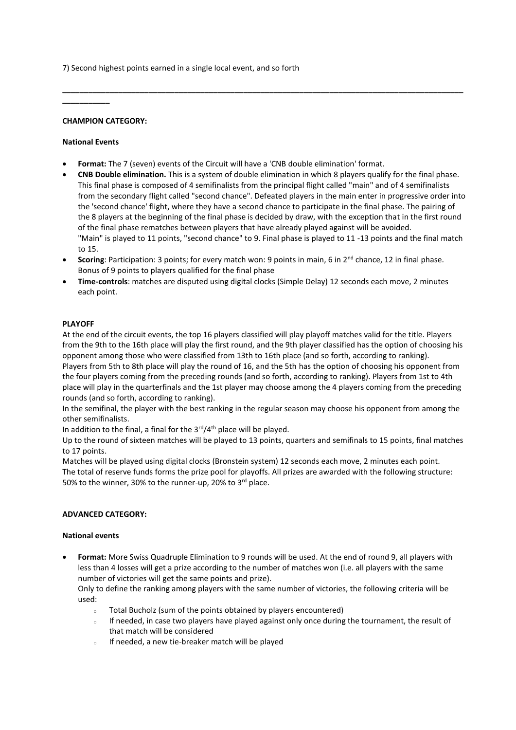7) Second highest points earned in a single local event, and so forth

#### **CHAMPION CATEGORY:**

#### **National Events**

**\_\_\_\_\_\_\_\_\_\_\_**

- **Format:** The 7 (seven) events of the Circuit will have a 'CNB double elimination' format.
- **CNB Double elimination.** This is a system of double elimination in which 8 players qualify for the final phase. This final phase is composed of 4 semifinalists from the principal flight called "main" and of 4 semifinalists from the secondary flight called "second chance". Defeated players in the main enter in progressive order into the 'second chance' flight, where they have a second chance to participate in the final phase. The pairing of the 8 players at the beginning of the final phase is decided by draw, with the exception that in the first round of the final phase rematches between players that have already played against will be avoided. "Main" is played to 11 points, "second chance" to 9. Final phase is played to 11 -13 points and the final match to 15.

**\_\_\_\_\_\_\_\_\_\_\_\_\_\_\_\_\_\_\_\_\_\_\_\_\_\_\_\_\_\_\_\_\_\_\_\_\_\_\_\_\_\_\_\_\_\_\_\_\_\_\_\_\_\_\_\_\_\_\_\_\_\_\_\_\_\_\_\_\_\_\_\_\_\_\_\_\_\_\_\_\_\_\_\_\_\_\_\_\_\_\_\_\_**

- **Scoring**: Participation: 3 points; for every match won: 9 points in main, 6 in 2<sup>nd</sup> chance, 12 in final phase. Bonus of 9 points to players qualified for the final phase
- **Time-controls**: matches are disputed using digital clocks (Simple Delay) 12 seconds each move, 2 minutes each point.

#### **PLAYOFF**

At the end of the circuit events, the top 16 players classified will play playoff matches valid for the title. Players from the 9th to the 16th place will play the first round, and the 9th player classified has the option of choosing his opponent among those who were classified from 13th to 16th place (and so forth, according to ranking). Players from 5th to 8th place will play the round of 16, and the 5th has the option of choosing his opponent from the four players coming from the preceding rounds (and so forth, according to ranking). Players from 1st to 4th place will play in the quarterfinals and the 1st player may choose among the 4 players coming from the preceding rounds (and so forth, according to ranking).

In the semifinal, the player with the best ranking in the regular season may choose his opponent from among the other semifinalists.

In addition to the final, a final for the  $3<sup>rd</sup>/4<sup>th</sup>$  place will be played.

Up to the round of sixteen matches will be played to 13 points, quarters and semifinals to 15 points, final matches to 17 points.

Matches will be played using digital clocks (Bronstein system) 12 seconds each move, 2 minutes each point. The total of reserve funds forms the prize pool for playoffs. All prizes are awarded with the following structure: 50% to the winner, 30% to the runner-up, 20% to 3rd place.

#### **ADVANCED CATEGORY:**

#### **National events**

• **Format:** More Swiss Quadruple Elimination to 9 rounds will be used. At the end of round 9, all players with less than 4 losses will get a prize according to the number of matches won (i.e. all players with the same number of victories will get the same points and prize).

Only to define the ranking among players with the same number of victories, the following criteria will be used:

- Total Bucholz (sum of the points obtained by players encountered)
- $\circ$  If needed, in case two players have played against only once during the tournament, the result of that match will be considered
- <sup>o</sup> If needed, a new tie-breaker match will be played